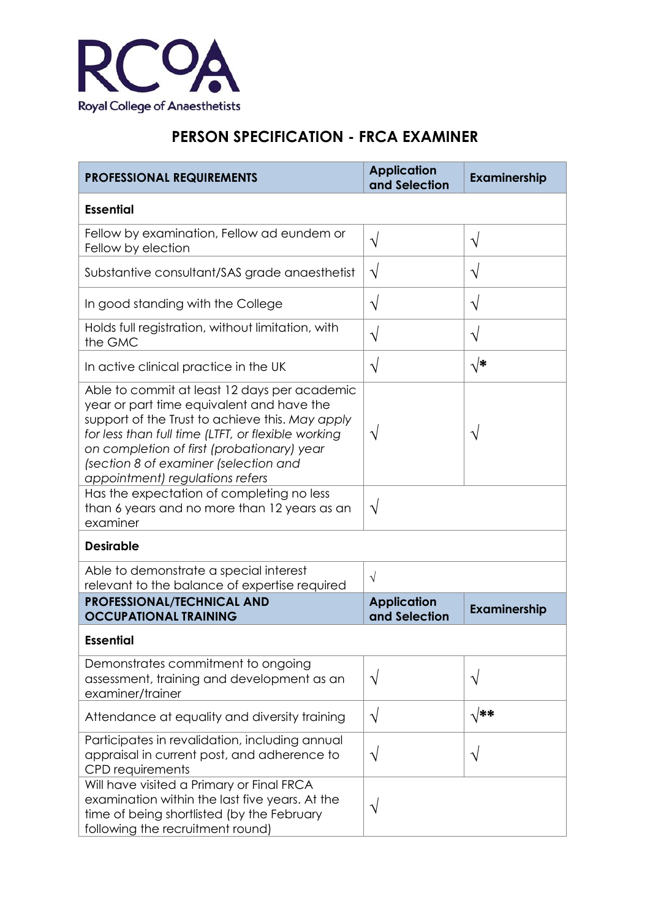

## **PERSON SPECIFICATION - FRCA EXAMINER**

| <b>PROFESSIONAL REQUIREMENTS</b>                                                                                                                                                                                                                                                                                             | <b>Application</b><br>and Selection | Examinership  |  |
|------------------------------------------------------------------------------------------------------------------------------------------------------------------------------------------------------------------------------------------------------------------------------------------------------------------------------|-------------------------------------|---------------|--|
| <b>Essential</b>                                                                                                                                                                                                                                                                                                             |                                     |               |  |
| Fellow by examination, Fellow ad eundem or<br>Fellow by election                                                                                                                                                                                                                                                             | $\sqrt{}$                           | $\sqrt{}$     |  |
| Substantive consultant/SAS grade anaesthetist                                                                                                                                                                                                                                                                                | $\sqrt{}$                           | $\mathcal{N}$ |  |
| In good standing with the College                                                                                                                                                                                                                                                                                            | $\sqrt{}$                           | V             |  |
| Holds full registration, without limitation, with<br>the GMC                                                                                                                                                                                                                                                                 | $\sqrt{}$                           | $\sqrt{}$     |  |
| In active clinical practice in the UK                                                                                                                                                                                                                                                                                        | $\sqrt{}$                           | √*            |  |
| Able to commit at least 12 days per academic<br>year or part time equivalent and have the<br>support of the Trust to achieve this. May apply<br>for less than full time (LTFT, or flexible working<br>on completion of first (probationary) year<br>(section 8 of examiner (selection and<br>appointment) regulations refers | V                                   |               |  |
| Has the expectation of completing no less<br>than 6 years and no more than 12 years as an<br>examiner                                                                                                                                                                                                                        | $\sqrt{}$                           |               |  |
| <b>Desirable</b>                                                                                                                                                                                                                                                                                                             |                                     |               |  |
| Able to demonstrate a special interest<br>relevant to the balance of expertise required                                                                                                                                                                                                                                      | $\sqrt{}$                           |               |  |
| <b>PROFESSIONAL/TECHNICAL AND</b><br><b>OCCUPATIONAL TRAINING</b>                                                                                                                                                                                                                                                            | <b>Application</b><br>and Selection | Examinership  |  |
| <b>Essential</b>                                                                                                                                                                                                                                                                                                             |                                     |               |  |
| Demonstrates commitment to ongoing<br>assessment, training and development as an<br>examiner/trainer                                                                                                                                                                                                                         | $\sqrt{}$                           | ٦             |  |
| Attendance at equality and diversity training                                                                                                                                                                                                                                                                                | $\sqrt{}$                           | $\sqrt{***}$  |  |
| Participates in revalidation, including annual<br>appraisal in current post, and adherence to<br><b>CPD</b> requirements                                                                                                                                                                                                     | V                                   | ٦             |  |
| Will have visited a Primary or Final FRCA<br>examination within the last five years. At the<br>time of being shortlisted (by the February<br>following the recruitment round)                                                                                                                                                |                                     |               |  |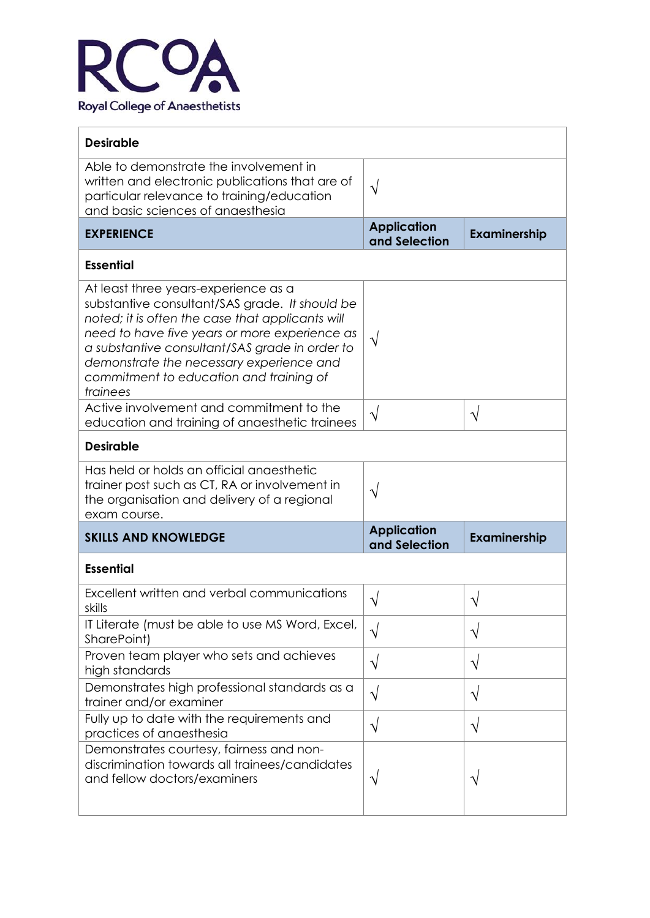

| <b>Desirable</b>                                                                                                                                                                                                                                                                                                                                 |                                     |                     |  |  |
|--------------------------------------------------------------------------------------------------------------------------------------------------------------------------------------------------------------------------------------------------------------------------------------------------------------------------------------------------|-------------------------------------|---------------------|--|--|
| Able to demonstrate the involvement in<br>written and electronic publications that are of<br>particular relevance to training/education<br>and basic sciences of anaesthesia                                                                                                                                                                     | $\sqrt{2}$                          |                     |  |  |
| <b>EXPERIENCE</b>                                                                                                                                                                                                                                                                                                                                | <b>Application</b><br>and Selection | Examinership        |  |  |
| <b>Essential</b>                                                                                                                                                                                                                                                                                                                                 |                                     |                     |  |  |
| At least three years-experience as a<br>substantive consultant/SAS grade. It should be<br>noted; it is often the case that applicants will<br>need to have five years or more experience as<br>a substantive consultant/SAS grade in order to<br>demonstrate the necessary experience and<br>commitment to education and training of<br>trainees | $\sqrt{ }$                          |                     |  |  |
| Active involvement and commitment to the<br>education and training of anaesthetic trainees                                                                                                                                                                                                                                                       | $\sqrt{}$                           | $\sqrt{}$           |  |  |
| <b>Desirable</b>                                                                                                                                                                                                                                                                                                                                 |                                     |                     |  |  |
| Has held or holds an official angesthetic<br>trainer post such as CT, RA or involvement in<br>the organisation and delivery of a regional<br>exam course.                                                                                                                                                                                        | N                                   |                     |  |  |
| <b>SKILLS AND KNOWLEDGE</b>                                                                                                                                                                                                                                                                                                                      | <b>Application</b><br>and Selection | <b>Examinership</b> |  |  |
| <b>Essential</b>                                                                                                                                                                                                                                                                                                                                 |                                     |                     |  |  |
| Excellent written and verbal communications<br>skills                                                                                                                                                                                                                                                                                            | ٦                                   |                     |  |  |
| IT Literate (must be able to use MS Word, Excel,<br>SharePoint)                                                                                                                                                                                                                                                                                  | $\sqrt{}$                           | $\sqrt{}$           |  |  |
| Proven team player who sets and achieves<br>high standards                                                                                                                                                                                                                                                                                       | $\sqrt{}$                           | $\sqrt{}$           |  |  |
| Demonstrates high professional standards as a<br>trainer and/or examiner                                                                                                                                                                                                                                                                         | $\sqrt{}$                           | V                   |  |  |
| Fully up to date with the requirements and<br>practices of anaesthesia                                                                                                                                                                                                                                                                           | V                                   | $\sqrt{}$           |  |  |
| Demonstrates courtesy, fairness and non-<br>discrimination towards all trainees/candidates<br>and fellow doctors/examiners                                                                                                                                                                                                                       | V                                   |                     |  |  |